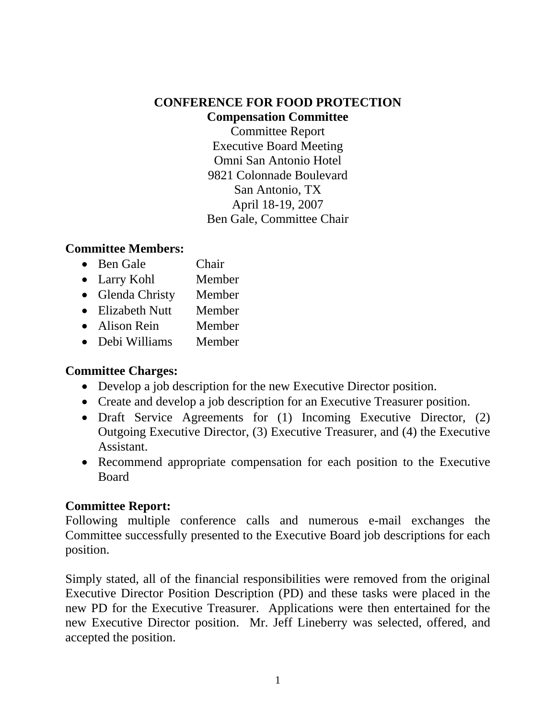## **CONFERENCE FOR FOOD PROTECTION Compensation Committee**

Committee Report Executive Board Meeting Omni San Antonio Hotel 9821 Colonnade Boulevard San Antonio, TX April 18-19, 2007 Ben Gale, Committee Chair

## **Committee Members:**

- Ben Gale Chair
- Larry Kohl Member
- Glenda Christy Member
- Elizabeth Nutt Member
- Alison Rein Member
- Debi Williams Member

## **Committee Charges:**

- Develop a job description for the new Executive Director position.
- Create and develop a job description for an Executive Treasurer position.
- Draft Service Agreements for (1) Incoming Executive Director, (2) Outgoing Executive Director, (3) Executive Treasurer, and (4) the Executive Assistant.
- Recommend appropriate compensation for each position to the Executive Board

## **Committee Report:**

Following multiple conference calls and numerous e-mail exchanges the Committee successfully presented to the Executive Board job descriptions for each position.

Simply stated, all of the financial responsibilities were removed from the original Executive Director Position Description (PD) and these tasks were placed in the new PD for the Executive Treasurer. Applications were then entertained for the new Executive Director position. Mr. Jeff Lineberry was selected, offered, and accepted the position.